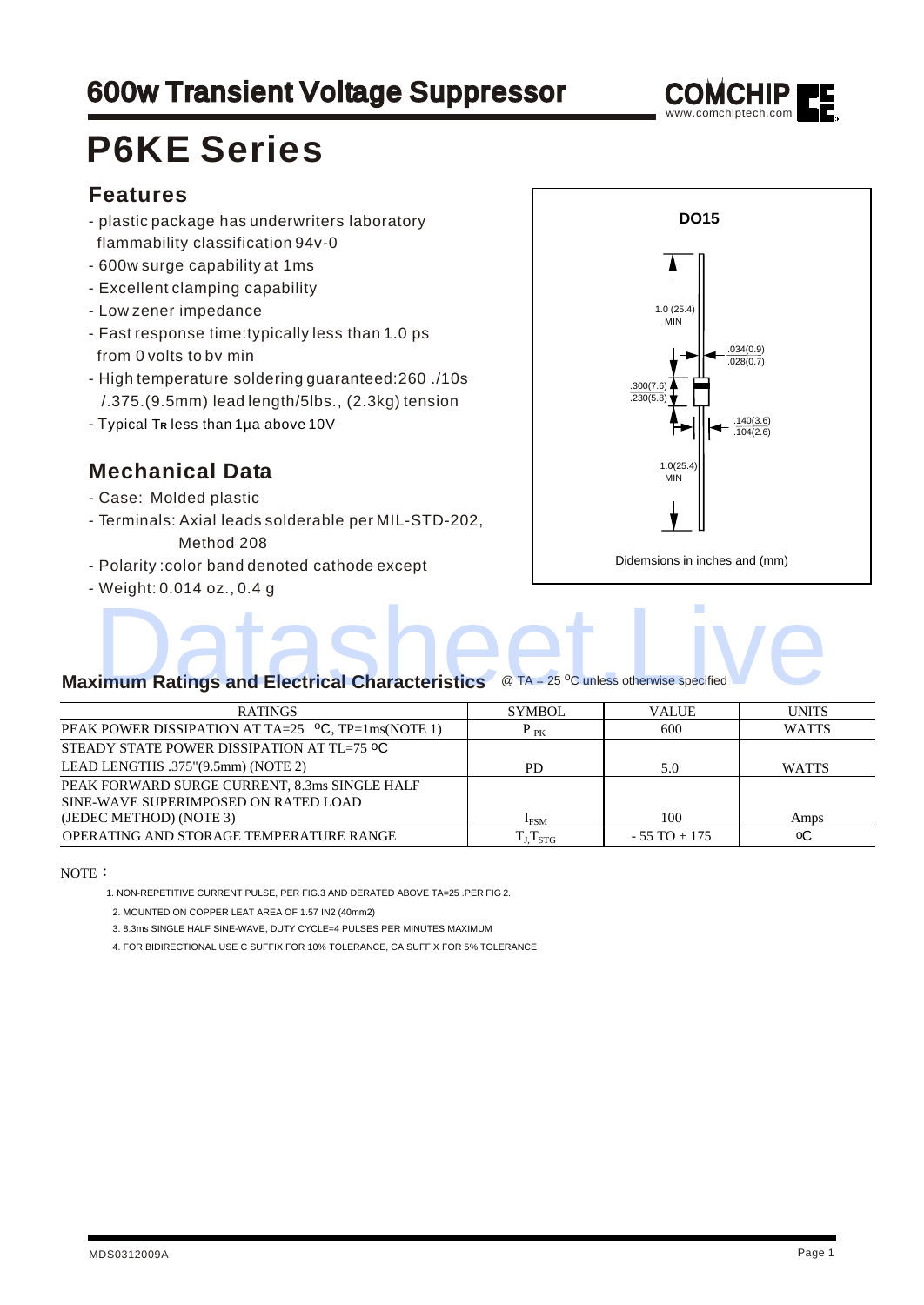## **600w Transient Voltage Suppressor**



## **P6KE Series**

#### **Features**

- plastic package has underwriters laboratory flammability classification 94v-0
- 600w surge capability at 1ms
- Excellent clamping capability
- Low zener impedance
- Fast response time:typically less than 1.0 ps from 0 volts to bv min
- High temperature soldering guaranteed:260 ./10s /.375.(9.5mm) lead length/5lbs., (2.3kg) tension
- T ypical T**R** less than 1µa above 10V

#### **Mechanical Data**

- Case: Molded plastic
- Terminals: Axial leads solderable per MIL-STD-202, Method 208
- Polarity :color band denoted cathode except
- Weight: 0.014 oz., 0.4 g



# **Maximum Ratings and Electrical Characteristics** @ TA = 25 <sup>o</sup>C unless otherwise specified Report of the Characteristics of the 25 °C unless otherwise specified

| <b>RATINGS</b>                                               | <b>SYMBOL</b>           | <b>VALUE</b>    | <b>UNITS</b> |
|--------------------------------------------------------------|-------------------------|-----------------|--------------|
| PEAK POWER DISSIPATION AT TA=25 $^{\circ}$ C, TP=1ms(NOTE 1) | $P_{PK}$                | 600             | <b>WATTS</b> |
| STEADY STATE POWER DISSIPATION AT TL=75 °C                   |                         |                 |              |
| LEAD LENGTHS .375"(9.5mm) (NOTE 2)                           | PD.                     | 5.0             | <b>WATTS</b> |
| PEAK FORWARD SURGE CURRENT, 8.3ms SINGLE HALF                |                         |                 |              |
| SINE-WAVE SUPERIMPOSED ON RATED LOAD                         |                         |                 |              |
| (JEDEC METHOD) (NOTE 3)                                      | $I_{\rm{FSM}}$          | 100             | Amps         |
| OPERATING AND STORAGE TEMPERATURE RANGE                      | $T_{\rm J,}T_{\rm STG}$ | $-55$ TO $+175$ | оC           |

NOTE:

1. NON-REPETITIVE CURRENT PULSE, PER FIG.3 AND DERATED ABOVE TA=25 .PER FIG 2.

2. MOUNTED ON COPPER LEAT AREA OF 1.57 IN2 (40mm2)

3. 8.3ms SINGLE HALF SINE-WAVE, DUTY CYCLE=4 PULSES PER MINUTES MAXIMUM

4. FOR BIDIRECTIONAL USE C SUFFIX FOR 10% TOLERANCE, CA SUFFIX FOR 5% TOLERANCE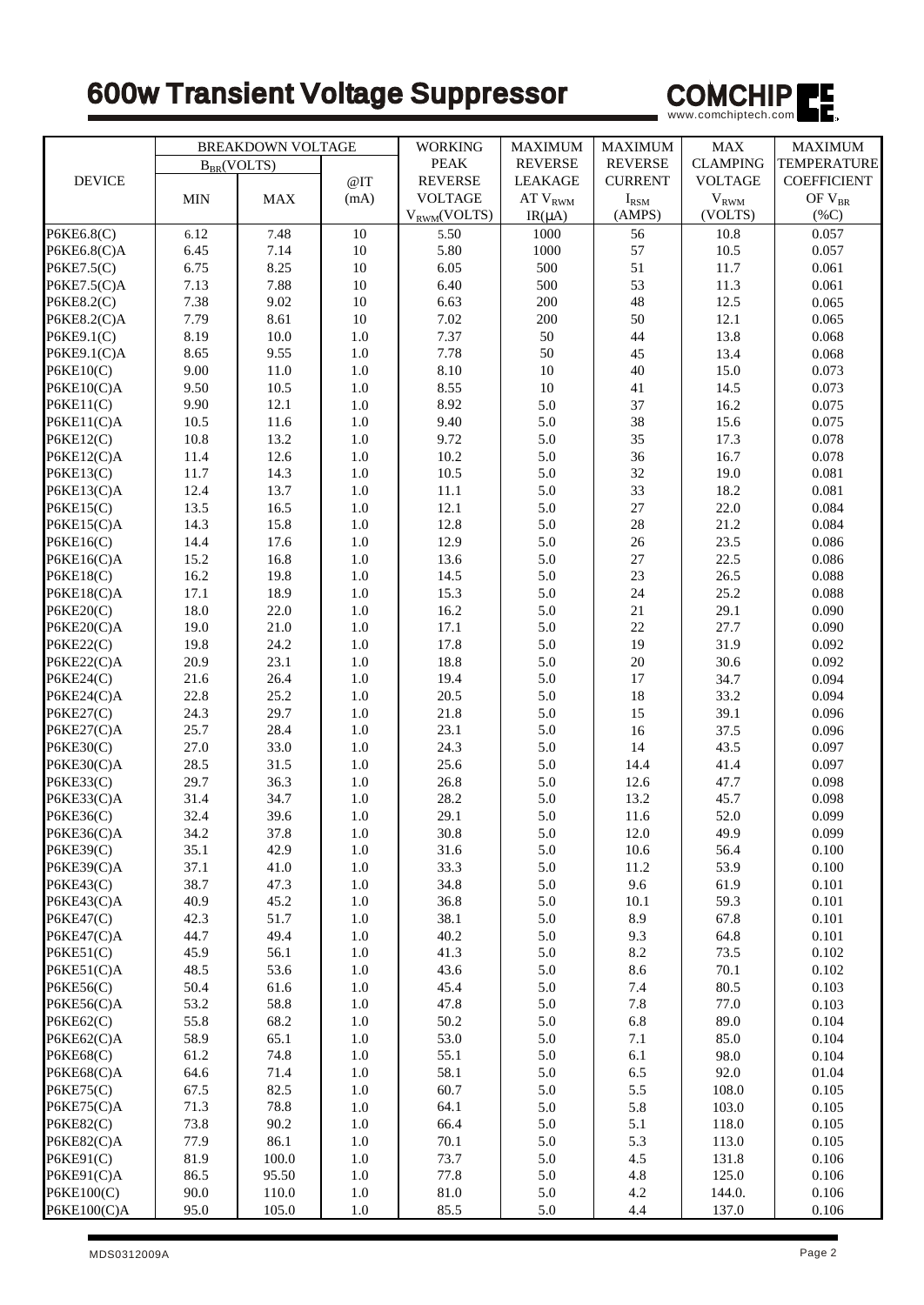## 600w Transient Voltage Suppressor



|                         | <b>BREAKDOWN VOLTAGE</b> |              | <b>WORKING</b> | <b>MAXIMUM</b>   | <b>MAXIMUM</b>   | <b>MAX</b>      | <b>MAXIMUM</b>     |                    |
|-------------------------|--------------------------|--------------|----------------|------------------|------------------|-----------------|--------------------|--------------------|
|                         | $B_{BR}(VOLTS)$          |              | <b>PEAK</b>    | <b>REVERSE</b>   | <b>REVERSE</b>   | <b>CLAMPING</b> | <b>TEMPERATURE</b> |                    |
| <b>DEVICE</b>           |                          |              | @IT            | <b>REVERSE</b>   | <b>LEAKAGE</b>   | <b>CURRENT</b>  | <b>VOLTAGE</b>     | <b>COEFFICIENT</b> |
|                         | MIN                      | <b>MAX</b>   | (mA)           | <b>VOLTAGE</b>   | AT $\rm V_{RWM}$ | $I_{\rm RSM}$   | $V_{RWM}$          | OF $\rm V_{BR}$    |
|                         |                          |              |                | $V_{RWM}(VOLTS)$ | $IR(\mu A)$      | (AMPS)          | (VOLTS)            | $(\%C)$            |
| P6KE6.8(C)              | 6.12                     | 7.48         | 10             | 5.50             | 1000             | 56              | 10.8               | 0.057              |
| P6KE6.8(C)A             | 6.45                     | 7.14         | 10             | 5.80             | 1000             | 57              | 10.5               | 0.057              |
| P6KE7.5(C)              | 6.75                     | 8.25         | 10             | 6.05             | 500              | 51              | 11.7               | 0.061              |
| P6KE7.5(C)A             | 7.13                     | 7.88         | 10             | 6.40             | 500              | 53              | 11.3               | 0.061              |
| P6KE8.2(C)              | 7.38                     | 9.02         | 10             | 6.63             | 200              | 48              | 12.5               | 0.065              |
| P6KE8.2(C)A             | 7.79                     | 8.61         | 10             | 7.02             | 200              | 50              | 12.1               | 0.065              |
| P6KE9.1(C)              | 8.19                     | 10.0         | 1.0            | 7.37             | 50               | 44              | 13.8               | 0.068              |
| P6KE9.1(C)A             | 8.65                     | 9.55         | $1.0\,$        | 7.78             | 50               | 45              | 13.4               | 0.068              |
| P6KE10(C)               | 9.00                     | 11.0         | $1.0\,$        | 8.10             | $10\,$           | 40              | 15.0               | 0.073              |
| $P6KE10(C)$ A           | 9.50                     | 10.5         | 1.0            | 8.55             | 10               | 41              | 14.5               | 0.073              |
| P6KE11(C)               | 9.90                     | 12.1         | $1.0\,$        | 8.92             | 5.0              | 37              | 16.2               | 0.075              |
| P6KE11(C)A              | 10.5                     | 11.6         | 1.0            | 9.40             | 5.0              | 38              | 15.6               | 0.075              |
| P6KE12(C)               | 10.8                     | 13.2         | $1.0\,$        | 9.72             | 5.0              | 35              | 17.3               | 0.078              |
| P6KE12(C)A              | 11.4                     | 12.6         | $1.0\,$        | 10.2             | 5.0              | 36              | 16.7               | 0.078              |
| P6KE13(C)               | 11.7                     | 14.3         | $1.0\,$        | 10.5             | 5.0              | 32              | 19.0               | 0.081              |
| P6KE13(C)A              | 12.4                     | 13.7         | $1.0\,$        | 11.1             | 5.0              | 33              | 18.2               | 0.081              |
| P6KE15(C)               | 13.5                     | 16.5         | 1.0            | 12.1             | 5.0              | 27              | 22.0               | 0.084              |
| P6KE15(C)A              | 14.3                     | 15.8         | 1.0            | 12.8             | 5.0              | $28\,$          | 21.2               | 0.084              |
| P6KE16(C)               | 14.4                     | 17.6         | $1.0\,$        | 12.9             | 5.0              | 26              | 23.5               | 0.086              |
| P6KE16(C)A              | 15.2                     | 16.8         | 1.0            | 13.6             | 5.0              | 27              | 22.5               | 0.086              |
| <b>P6KE18(C)</b>        | 16.2                     | 19.8         | 1.0            | 14.5             | 5.0              | 23              | 26.5               | 0.088              |
| P6KE18(C)A              | 17.1                     | 18.9         | 1.0            | 15.3             | 5.0              | 24              | 25.2               | 0.088              |
| P6KE20(C)               | 18.0                     | 22.0         | 1.0            | 16.2             | 5.0              | 21              | 29.1               | 0.090              |
| P6KE20(C)A              | 19.0                     | 21.0         | 1.0            | 17.1             | 5.0              | 22              | 27.7               | 0.090              |
| P6KE22(C)               | 19.8                     | 24.2         | $1.0\,$        | 17.8             | 5.0              | 19              | 31.9               | 0.092              |
| P6KE22(C)A              | 20.9                     | 23.1         | 1.0            | 18.8             | 5.0              | 20              | 30.6               | 0.092              |
| P6KE24(C)               | 21.6                     | 26.4         | $1.0\,$        | 19.4             | 5.0              | 17              | 34.7               | 0.094<br>0.094     |
| P6KE24(C)A<br>P6KE27(C) | 22.8<br>24.3             | 25.2<br>29.7 | $1.0\,$<br>1.0 | 20.5<br>21.8     | 5.0<br>5.0       | 18<br>15        | 33.2<br>39.1       | 0.096              |
| P6KE27(C)A              | 25.7                     | 28.4         | $1.0\,$        | 23.1             | 5.0              | 16              | 37.5               | 0.096              |
| P6KE30(C)               | 27.0                     | 33.0         | 1.0            | 24.3             | 5.0              | 14              | 43.5               | 0.097              |
| P6KE30(C)A              | 28.5                     | 31.5         | 1.0            | 25.6             | 5.0              | 14.4            | 41.4               | 0.097              |
| P6KE33(C)               | 29.7                     | 36.3         | 1.0            | 26.8             | 5.0              | 12.6            | 47.7               | 0.098              |
| P6KE33(C)A              | 31.4                     | 34.7         | 1.0            | 28.2             | 5.0              | 13.2            | 45.7               | 0.098              |
| P6KE36(C)               | 32.4                     | 39.6         | $1.0\,$        | 29.1             | 5.0              | 11.6            | 52.0               | 0.099              |
| P6KE36(C)A              | 34.2                     | 37.8         | 1.0            | 30.8             | 5.0              | 12.0            | 49.9               | 0.099              |
| P6KE39(C)               | 35.1                     | 42.9         | 1.0            | 31.6             | 5.0              | $10.6\,$        | 56.4               | 0.100              |
| P6KE39(C)A              | 37.1                     | 41.0         | 1.0            | 33.3             | 5.0              | 11.2            | 53.9               | 0.100              |
| P6KE43(C)               | 38.7                     | 47.3         | $1.0\,$        | 34.8             | 5.0              | 9.6             | 61.9               | 0.101              |
| P6KE43(C)A              | 40.9                     | 45.2         | 1.0            | 36.8             | 5.0              | 10.1            | 59.3               | 0.101              |
| <b>P6KE47(C)</b>        | 42.3                     | 51.7         | 1.0            | 38.1             | 5.0              | 8.9             | 67.8               | 0.101              |
| P6KE47(C)A              | 44.7                     | 49.4         | 1.0            | 40.2             | 5.0              | 9.3             | 64.8               | 0.101              |
| P6KE51(C)               | 45.9                     | 56.1         | 1.0            | 41.3             | 5.0              | 8.2             | 73.5               | 0.102              |
| P6KE51(C)A              | 48.5                     | 53.6         | 1.0            | 43.6             | 5.0              | 8.6             | 70.1               | 0.102              |
| P6KE56(C)               | 50.4                     | 61.6         | 1.0            | 45.4             | 5.0              | 7.4             | 80.5               | 0.103              |
| P6KE56(C)A              | 53.2                     | 58.8         | $1.0\,$        | 47.8             | 5.0              | $7.8\,$         | 77.0               | 0.103              |
| P6KE62(C)               | 55.8                     | 68.2         | 1.0            | 50.2             | 5.0              | 6.8             | 89.0               | 0.104              |
| P6KE62(C)A              | 58.9                     | 65.1         | 1.0            | 53.0             | 5.0              | 7.1             | 85.0               | 0.104              |
| P6KE68(C)               | 61.2                     | 74.8         | $1.0\,$        | 55.1             | 5.0              | 6.1             | 98.0               | 0.104              |
| P6KE68(C)A              | 64.6                     | 71.4         | 1.0            | 58.1             | 5.0              | 6.5             | 92.0               | 01.04              |
| P6KE75(C)               | 67.5                     | 82.5         | 1.0            | 60.7             | 5.0              | 5.5             | 108.0              | 0.105              |
| P6KE75(C)A              | 71.3                     | 78.8         | 1.0            | 64.1             | 5.0              | 5.8             | 103.0              | 0.105              |
| <b>P6KE82(C)</b>        | 73.8                     | 90.2         | 1.0            | 66.4             | 5.0              | 5.1             | 118.0              | 0.105              |
| P6KE82(C)A              | 77.9                     | 86.1         | 1.0            | 70.1             | 5.0              | 5.3             | 113.0              | 0.105              |
| P6KE91(C)               | 81.9                     | 100.0        | 1.0            | 73.7             | 5.0              | 4.5             | 131.8              | 0.106              |
| P6KE91(C)A              | 86.5                     | 95.50        | 1.0            | 77.8             | 5.0              | 4.8             | 125.0              | 0.106              |
| P6KE100(C)              | 90.0                     | 110.0        | 1.0            | 81.0             | 5.0              | 4.2             | 144.0.             | 0.106              |
| $P6KE100(C)$ A          | 95.0                     | 105.0        | $1.0\,$        | 85.5             | 5.0              | 4.4             | 137.0              | 0.106              |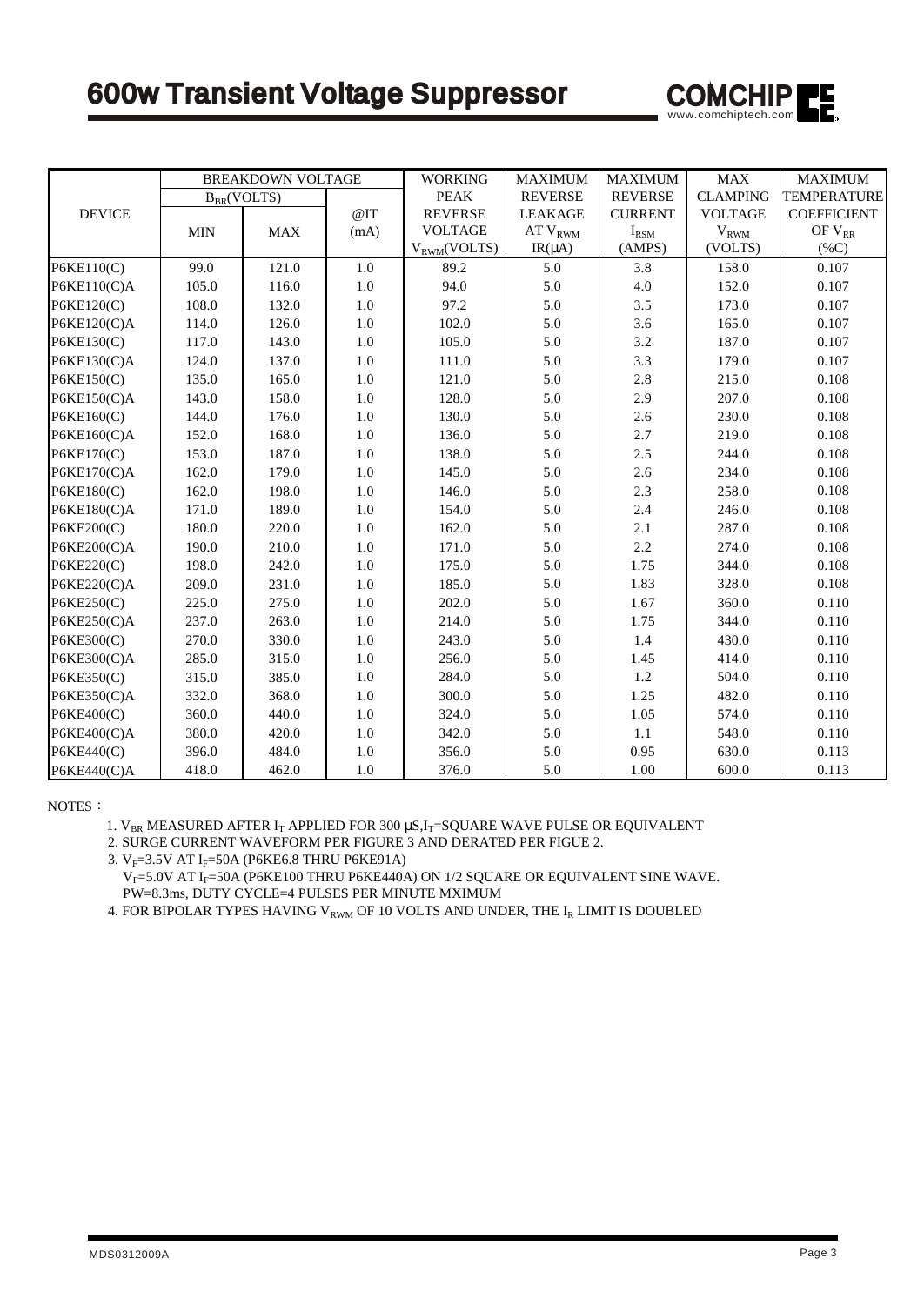

|                | <b>BREAKDOWN VOLTAGE</b> |       | <b>WORKING</b> | <b>MAXIMUM</b>   | <b>MAXIMUM</b> | ${\rm MAX}$    | <b>MAXIMUM</b>      |                    |
|----------------|--------------------------|-------|----------------|------------------|----------------|----------------|---------------------|--------------------|
|                | $B_{BR}(VOLTS)$          |       |                | <b>PEAK</b>      | <b>REVERSE</b> | <b>REVERSE</b> | <b>CLAMPING</b>     | TEMPERATURE        |
| <b>DEVICE</b>  |                          |       | @IT            | <b>REVERSE</b>   | <b>LEAKAGE</b> | <b>CURRENT</b> | <b>VOLTAGE</b>      | <b>COEFFICIENT</b> |
|                | <b>MIN</b>               | MAX   | (mA)           | <b>VOLTAGE</b>   | $AT\ V_{RWM}$  | $I_{\rm RSM}$  | $\rm{V}_{\rm{RWM}}$ | OF $\rm V_{RR}$    |
|                |                          |       |                | $V_{RWM}(VOLTS)$ | $IR(\mu A)$    | (AMPS)         | (VOLTS)             | $(\%C)$            |
| P6KE110(C)     | 99.0                     | 121.0 | $1.0\,$        | 89.2             | 5.0            | 3.8            | 158.0               | 0.107              |
| P6KE110(C)A    | 105.0                    | 116.0 | 1.0            | 94.0             | 5.0            | 4.0            | 152.0               | 0.107              |
| P6KE120(C)     | 108.0                    | 132.0 | $1.0\,$        | 97.2             | 5.0            | $3.5\,$        | 173.0               | 0.107              |
| P6KE120(C)A    | 114.0                    | 126.0 | 1.0            | 102.0            | 5.0            | 3.6            | 165.0               | 0.107              |
| P6KE130(C)     | 117.0                    | 143.0 | 1.0            | 105.0            | 5.0            | 3.2            | 187.0               | 0.107              |
| P6KE130(C)A    | 124.0                    | 137.0 | 1.0            | 111.0            | 5.0            | 3.3            | 179.0               | 0.107              |
| P6KE150(C)     | 135.0                    | 165.0 | 1.0            | 121.0            | 5.0            | 2.8            | 215.0               | 0.108              |
| $P6KE150(C)$ A | 143.0                    | 158.0 | 1.0            | 128.0            | 5.0            | 2.9            | 207.0               | 0.108              |
| P6KE160(C)     | 144.0                    | 176.0 | 1.0            | 130.0            | 5.0            | 2.6            | 230.0               | 0.108              |
| P6KE160(C)A    | 152.0                    | 168.0 | $1.0\,$        | 136.0            | 5.0            | 2.7            | 219.0               | 0.108              |
| P6KE170(C)     | 153.0                    | 187.0 | 1.0            | 138.0            | 5.0            | 2.5            | 244.0               | 0.108              |
| $P6KE170(C)$ A | 162.0                    | 179.0 | 1.0            | 145.0            | 5.0            | 2.6            | 234.0               | 0.108              |
| P6KE180(C)     | 162.0                    | 198.0 | 1.0            | 146.0            | 5.0            | 2.3            | 258.0               | 0.108              |
| $P6KE180(C)$ A | 171.0                    | 189.0 | 1.0            | 154.0            | 5.0            | 2.4            | 246.0               | 0.108              |
| P6KE200(C)     | 180.0                    | 220.0 | 1.0            | 162.0            | 5.0            | 2.1            | 287.0               | 0.108              |
| P6KE200(C)A    | 190.0                    | 210.0 | 1.0            | 171.0            | 5.0            | 2.2            | 274.0               | 0.108              |
| P6KE220(C)     | 198.0                    | 242.0 | 1.0            | 175.0            | 5.0            | 1.75           | 344.0               | 0.108              |
| $P6KE220(C)$ A | 209.0                    | 231.0 | $1.0\,$        | 185.0            | 5.0            | 1.83           | 328.0               | 0.108              |
| P6KE250(C)     | 225.0                    | 275.0 | 1.0            | 202.0            | 5.0            | 1.67           | 360.0               | 0.110              |
| $P6KE250(C)$ A | 237.0                    | 263.0 | 1.0            | 214.0            | 5.0            | 1.75           | 344.0               | 0.110              |
| P6KE300(C)     | 270.0                    | 330.0 | $1.0\,$        | 243.0            | 5.0            | 1.4            | 430.0               | 0.110              |
| P6KE300(C)A    | 285.0                    | 315.0 | 1.0            | 256.0            | 5.0            | 1.45           | 414.0               | 0.110              |
| P6KE350(C)     | 315.0                    | 385.0 | 1.0            | 284.0            | 5.0            | 1.2            | 504.0               | 0.110              |
| P6KE350(C)A    | 332.0                    | 368.0 | 1.0            | 300.0            | 5.0            | 1.25           | 482.0               | 0.110              |
| P6KE400(C)     | 360.0                    | 440.0 | 1.0            | 324.0            | 5.0            | 1.05           | 574.0               | 0.110              |
| P6KE400(C)A    | 380.0                    | 420.0 | 1.0            | 342.0            | 5.0            | 1.1            | 548.0               | 0.110              |
| P6KE440(C)     | 396.0                    | 484.0 | 1.0            | 356.0            | 5.0            | 0.95           | 630.0               | 0.113              |
| P6KE440(C)A    | 418.0                    | 462.0 | 1.0            | 376.0            | 5.0            | 1.00           | 600.0               | 0.113              |

NOTES:

1.  $V_{BR}$  MEASURED AFTER  $I_T$  APPLIED FOR 300  $\mu S$ , $I_T$ =SQUARE WAVE PULSE OR EQUIVALENT

2. SURGE CURRENT WAVEFORM PER FIGURE 3 AND DERATED PER FIGUE 2.

3.  $V_F$ =3.5V AT I<sub>F</sub>=50A (P6KE6.8 THRU P6KE91A)

 $V_F$ =5.0V AT I<sub>F</sub>=50A (P6KE100 THRU P6KE440A) ON 1/2 SQUARE OR EQUIVALENT SINE WAVE. PW=8.3ms, DUTY CYCLE=4 PULSES PER MINUTE MXIMUM

4. FOR BIPOLAR TYPES HAVING  $V_{RWM}$  OF 10 VOLTS AND UNDER, THE  $I_R$  LIMIT IS DOUBLED